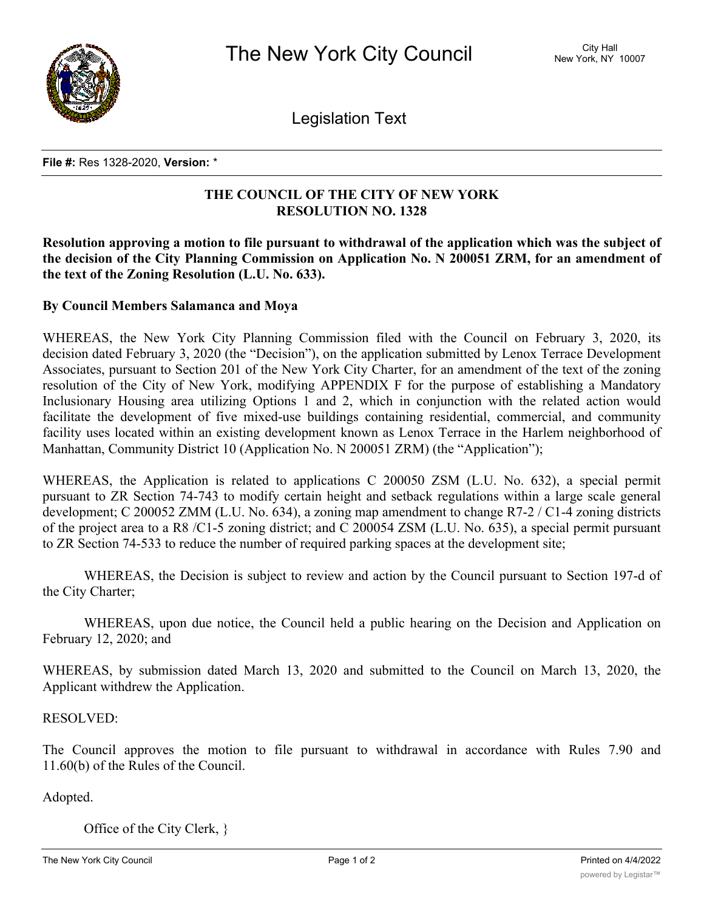

Legislation Text

## **File #:** Res 1328-2020, **Version:** \*

## **THE COUNCIL OF THE CITY OF NEW YORK RESOLUTION NO. 1328**

**Resolution approving a motion to file pursuant to withdrawal of the application which was the subject of the decision of the City Planning Commission on Application No. N 200051 ZRM, for an amendment of the text of the Zoning Resolution (L.U. No. 633).**

## **By Council Members Salamanca and Moya**

WHEREAS, the New York City Planning Commission filed with the Council on February 3, 2020, its decision dated February 3, 2020 (the "Decision"), on the application submitted by Lenox Terrace Development Associates, pursuant to Section 201 of the New York City Charter, for an amendment of the text of the zoning resolution of the City of New York, modifying APPENDIX F for the purpose of establishing a Mandatory Inclusionary Housing area utilizing Options 1 and 2, which in conjunction with the related action would facilitate the development of five mixed-use buildings containing residential, commercial, and community facility uses located within an existing development known as Lenox Terrace in the Harlem neighborhood of Manhattan, Community District 10 (Application No. N 200051 ZRM) (the "Application");

WHEREAS, the Application is related to applications C 200050 ZSM (L.U. No. 632), a special permit pursuant to ZR Section 74-743 to modify certain height and setback regulations within a large scale general development; C 200052 ZMM (L.U. No. 634), a zoning map amendment to change R7-2 / C1-4 zoning districts of the project area to a R8 /C1-5 zoning district; and C 200054 ZSM (L.U. No. 635), a special permit pursuant to ZR Section 74-533 to reduce the number of required parking spaces at the development site;

WHEREAS, the Decision is subject to review and action by the Council pursuant to Section 197-d of the City Charter;

WHEREAS, upon due notice, the Council held a public hearing on the Decision and Application on February 12, 2020; and

WHEREAS, by submission dated March 13, 2020 and submitted to the Council on March 13, 2020, the Applicant withdrew the Application.

RESOLVED:

The Council approves the motion to file pursuant to withdrawal in accordance with Rules 7.90 and 11.60(b) of the Rules of the Council.

Adopted.

Office of the City Clerk, }